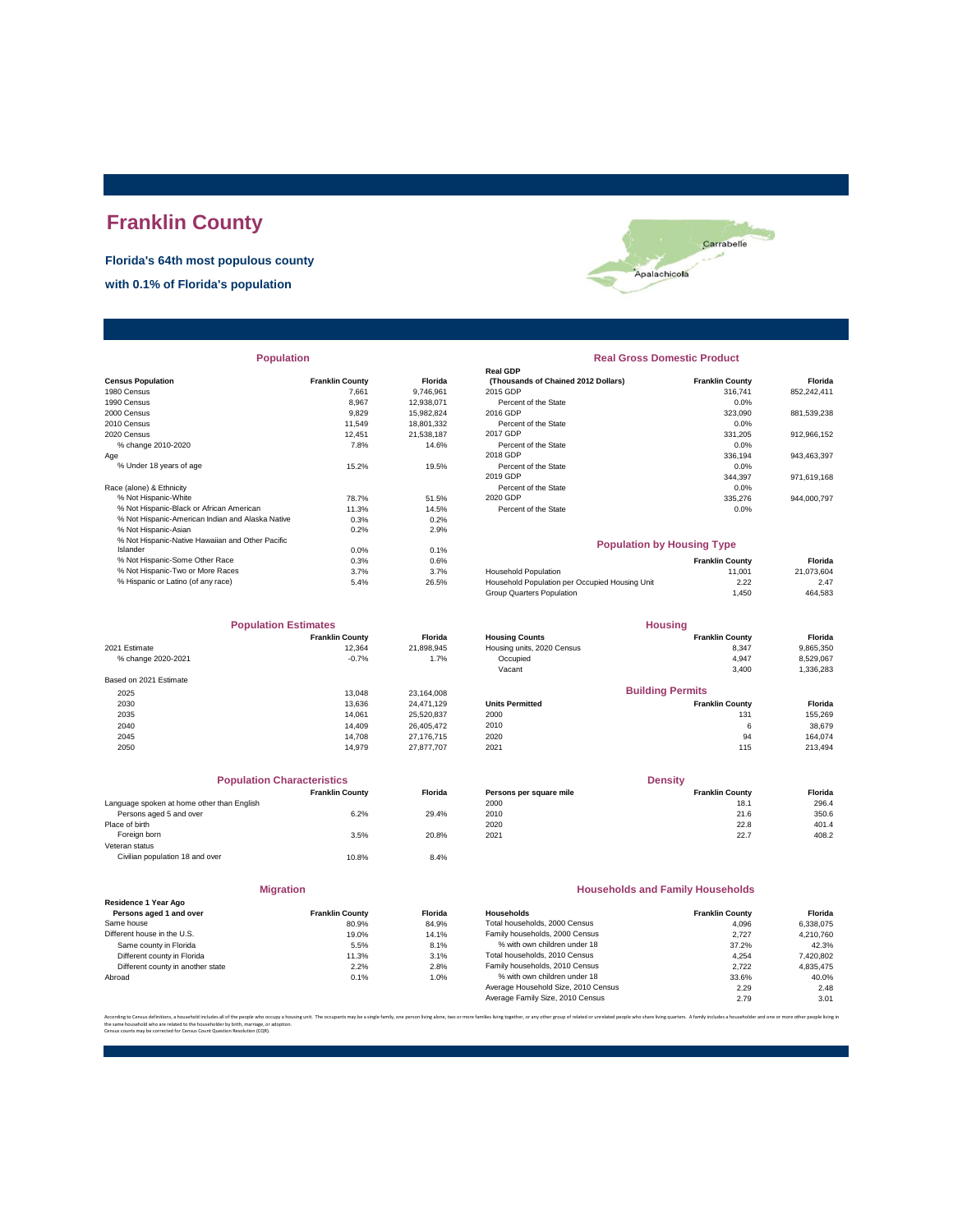# **Franklin County**

**Florida's 64th most populous county**

**with 0.1% of Florida's population**



| <b>Population</b>                                |                        |                | <b>Real Gross Domestic Product</b>             |                        |             |
|--------------------------------------------------|------------------------|----------------|------------------------------------------------|------------------------|-------------|
|                                                  |                        |                | <b>Real GDP</b>                                |                        |             |
| <b>Census Population</b>                         | <b>Franklin County</b> | <b>Florida</b> | (Thousands of Chained 2012 Dollars)            | <b>Franklin County</b> | Florida     |
| 1980 Census                                      | 7.661                  | 9.746.961      | 2015 GDP                                       | 316,741                | 852,242,411 |
| 1990 Census                                      | 8,967                  | 12,938,071     | Percent of the State                           | 0.0%                   |             |
| 2000 Census                                      | 9,829                  | 15,982,824     | 2016 GDP                                       | 323,090                | 881,539,238 |
| 2010 Census                                      | 11,549                 | 18,801,332     | Percent of the State                           | 0.0%                   |             |
| 2020 Census                                      | 12,451                 | 21,538,187     | 2017 GDP                                       | 331,205                | 912,966,152 |
| % change 2010-2020                               | 7.8%                   | 14.6%          | Percent of the State                           | 0.0%                   |             |
| Age                                              |                        |                | 2018 GDP                                       | 336,194                | 943,463,397 |
| % Under 18 years of age                          | 15.2%                  | 19.5%          | Percent of the State                           | 0.0%                   |             |
|                                                  |                        |                | 2019 GDP                                       | 344,397                | 971,619,168 |
| Race (alone) & Ethnicity                         |                        |                | Percent of the State                           | 0.0%                   |             |
| % Not Hispanic-White                             | 78.7%                  | 51.5%          | 2020 GDP                                       | 335,276                | 944.000.797 |
| % Not Hispanic-Black or African American         | 11.3%                  | 14.5%          | Percent of the State                           | 0.0%                   |             |
| % Not Hispanic-American Indian and Alaska Native | 0.3%                   | 0.2%           |                                                |                        |             |
| % Not Hispanic-Asian                             | 0.2%                   | 2.9%           |                                                |                        |             |
| % Not Hispanic-Native Hawaiian and Other Pacific |                        |                | <b>Population by Housing Type</b>              |                        |             |
| Islander                                         | 0.0%                   | 0.1%           |                                                |                        |             |
| % Not Hispanic-Some Other Race                   | 0.3%                   | 0.6%           |                                                | <b>Franklin County</b> | Florida     |
| % Not Hispanic-Two or More Races                 | 3.7%                   | 3.7%           | <b>Household Population</b>                    | 11,001                 | 21,073,604  |
| % Hispanic or Latino (of any race)               | 5.4%                   | 26.5%          | Household Population per Occupied Housing Unit | 2.22                   | 2.47        |

| <b>Population Estimates</b> |                        | <b>Housing</b> |                            |                         |           |
|-----------------------------|------------------------|----------------|----------------------------|-------------------------|-----------|
|                             | <b>Franklin County</b> | <b>Florida</b> | <b>Housing Counts</b>      | <b>Franklin County</b>  | Florida   |
| 2021 Estimate               | 12.364                 | 21,898,945     | Housing units, 2020 Census | 8,347                   | 9,865,350 |
| % change 2020-2021          | $-0.7%$                | 1.7%           | Occupied                   | 4,947                   | 8,529,067 |
|                             |                        |                | Vacant                     | 3,400                   | 1,336,283 |
| Based on 2021 Estimate      |                        |                |                            |                         |           |
| 2025                        | 13.048                 | 23.164.008     |                            | <b>Building Permits</b> |           |
| 2030                        | 13.636                 | 24.471.129     | <b>Units Permitted</b>     | <b>Franklin County</b>  | Florida   |
| 2035                        | 14.061                 | 25.520.837     | 2000                       | 131                     | 155,269   |
| 2040                        | 14.409                 | 26.405.472     | 2010                       | 6                       | 38,679    |
| 2045                        | 14.708                 | 27.176.715     | 2020                       | 94                      | 164.074   |
| 2050                        | 14.979                 | 27.877.707     | 2021                       | 115                     | 213,494   |

| <b>Population Characteristics</b>          |                        |                |
|--------------------------------------------|------------------------|----------------|
|                                            | <b>Franklin County</b> | <b>Florida</b> |
| Language spoken at home other than English |                        |                |
| Persons aged 5 and over                    | 6.2%                   | 29.4%          |
| Place of birth                             |                        |                |
| Foreign born                               | 3.5%                   | 20.8%          |
| Veteran status                             |                        |                |
| Civilian population 18 and over            | 10.8%                  | 8.4%           |
|                                            |                        |                |
|                                            |                        |                |

|                                                 | <b>Migration</b>       |               |
|-------------------------------------------------|------------------------|---------------|
| Residence 1 Year Ago<br>Persons aged 1 and over | <b>Franklin County</b> | <b>Florid</b> |
| Same house                                      | 80.9%                  | 84.99         |
| Different house in the U.S.                     | 19.0%                  | 14.19         |
| Same county in Florida                          | 5.5%                   | 8.19          |
| Different county in Florida                     | 11.3%                  | 3.19          |
| Different county in another state               | 2.2%                   | 2.89          |
| Abroad                                          | 0.1%                   | $1.0^\circ$   |

| <b>Population</b> |                        |                |                                     | <b>Real Gross Domestic Product</b> |             |
|-------------------|------------------------|----------------|-------------------------------------|------------------------------------|-------------|
|                   |                        |                | <b>Real GDP</b>                     |                                    |             |
|                   | <b>Franklin County</b> | <b>Florida</b> | (Thousands of Chained 2012 Dollars) | <b>Franklin County</b>             | Florida     |
|                   | 7.661                  | 9.746.961      | 2015 GDP                            | 316,741                            | 852,242,411 |
|                   | 8.967                  | 12,938,071     | Percent of the State                | $0.0\%$                            |             |
|                   | 9,829                  | 15,982,824     | 2016 GDP                            | 323,090                            | 881,539,238 |
|                   | 11.549                 | 18,801,332     | Percent of the State                | 0.0%                               |             |
|                   | 12.451                 | 21.538.187     | 2017 GDP                            | 331.205                            | 912.966.152 |
|                   | 7.8%                   | 14.6%          | Percent of the State                | 0.0%                               |             |
|                   |                        |                | 2018 GDP                            | 336.194                            | 943,463,397 |
|                   | 15.2%                  | 19.5%          | Percent of the State                | 0.0%                               |             |
|                   |                        |                | 2019 GDP                            | 344.397                            | 971,619,168 |
|                   |                        |                | Percent of the State                | 0.0%                               |             |
|                   | 78.7%                  | 51.5%          | 2020 GDP                            | 335.276                            | 944,000,797 |
| n                 | 11.3%                  | 14.5%          | Percent of the State                | 0.0%                               |             |
| ska Native        | 0.3%                   | 0.2%           |                                     |                                    |             |
|                   |                        |                |                                     |                                    |             |

## **Population by Housing Type**

|                                                | <b>Franklin County</b> | Florida    |
|------------------------------------------------|------------------------|------------|
| Household Population                           | 11.001                 | 21.073.604 |
| Household Population per Occupied Housing Unit | 2.22                   | 2.47       |
| Group Quarters Population                      | 1.450                  | 464.583    |
|                                                |                        |            |

|                        | <b>Population Estimates</b> |                |                            | <b>Housing</b>          |           |
|------------------------|-----------------------------|----------------|----------------------------|-------------------------|-----------|
|                        | <b>Franklin County</b>      | <b>Florida</b> | <b>Housing Counts</b>      | <b>Franklin County</b>  | Florida   |
| 2021 Estimate          | 12.364                      | 21,898,945     | Housing units, 2020 Census | 8,347                   | 9,865,350 |
| % change 2020-2021     | $-0.7%$                     | 1.7%           | Occupied                   | 4,947                   | 8,529,067 |
|                        |                             |                | Vacant                     | 3,400                   | 1,336,283 |
| Based on 2021 Estimate |                             |                |                            |                         |           |
| 2025                   | 13.048                      | 23.164.008     |                            | <b>Building Permits</b> |           |
| 2030                   | 13.636                      | 24.471.129     | <b>Units Permitted</b>     | <b>Franklin County</b>  | Florida   |
| 2035                   | 14.061                      | 25.520.837     | 2000                       | 131                     | 155.269   |
| 2040                   | 14.409                      | 26.405.472     | 2010                       | 6                       | 38,679    |
| 2045                   | 14.708                      | 27.176.715     | 2020                       | 94                      | 164.074   |
| $\sim$                 | 1.072                       | 27277727       | 0.001                      | $\rightarrow$           | 0.10101   |

| <b>Population Characteristics</b> |                |                         | Densitv                |                |  |  |
|-----------------------------------|----------------|-------------------------|------------------------|----------------|--|--|
| <b>Franklin County</b>            | <b>Florida</b> | Persons per square mile | <b>Franklin County</b> | <b>Florida</b> |  |  |
|                                   |                | 2000                    | 18.1                   | 296.4          |  |  |
| 6.2%                              | 29.4%          | 2010                    | 21.6                   | 350.6          |  |  |
|                                   |                | 2020                    | 22.8                   | 401.4          |  |  |
| 3.5%                              | 20.8%          | 2021                    | 22.7                   | 408.2          |  |  |
|                                   |                |                         |                        |                |  |  |

### **Households and Family Households**

| <b>Franklin County</b> | <b>Florida</b> | Households                          | <b>Franklin County</b> | Florida   |
|------------------------|----------------|-------------------------------------|------------------------|-----------|
| 80.9%                  | 84.9%          | Total households, 2000 Census       | 4.096                  | 6.338.075 |
| 19.0%                  | 14.1%          | Family households, 2000 Census      | 2.727                  | 4.210.760 |
| 5.5%                   | 8.1%           | % with own children under 18        | 37.2%                  | 42.3%     |
| 11.3%                  | 3.1%           | Total households, 2010 Census       | 4.254                  | 7,420,802 |
| 2.2%                   | 2.8%           | Family households, 2010 Census      | 2.722                  | 4.835.475 |
| 0.1%                   | 1.0%           | % with own children under 18        | 33.6%                  | 40.0%     |
|                        |                | Average Household Size, 2010 Census | 2.29                   | 2.48      |
|                        |                | Average Family Size, 2010 Census    | 2.79                   | 3.01      |
|                        |                |                                     |                        |           |

.<br>ther, or any other group of related or unrelated people who share living quarters. A family includes a householder and one or more other the same household who are related to the householder by birth, marriage, or adoption. Census counts may be corrected for Census Count Question Resolution (CQR).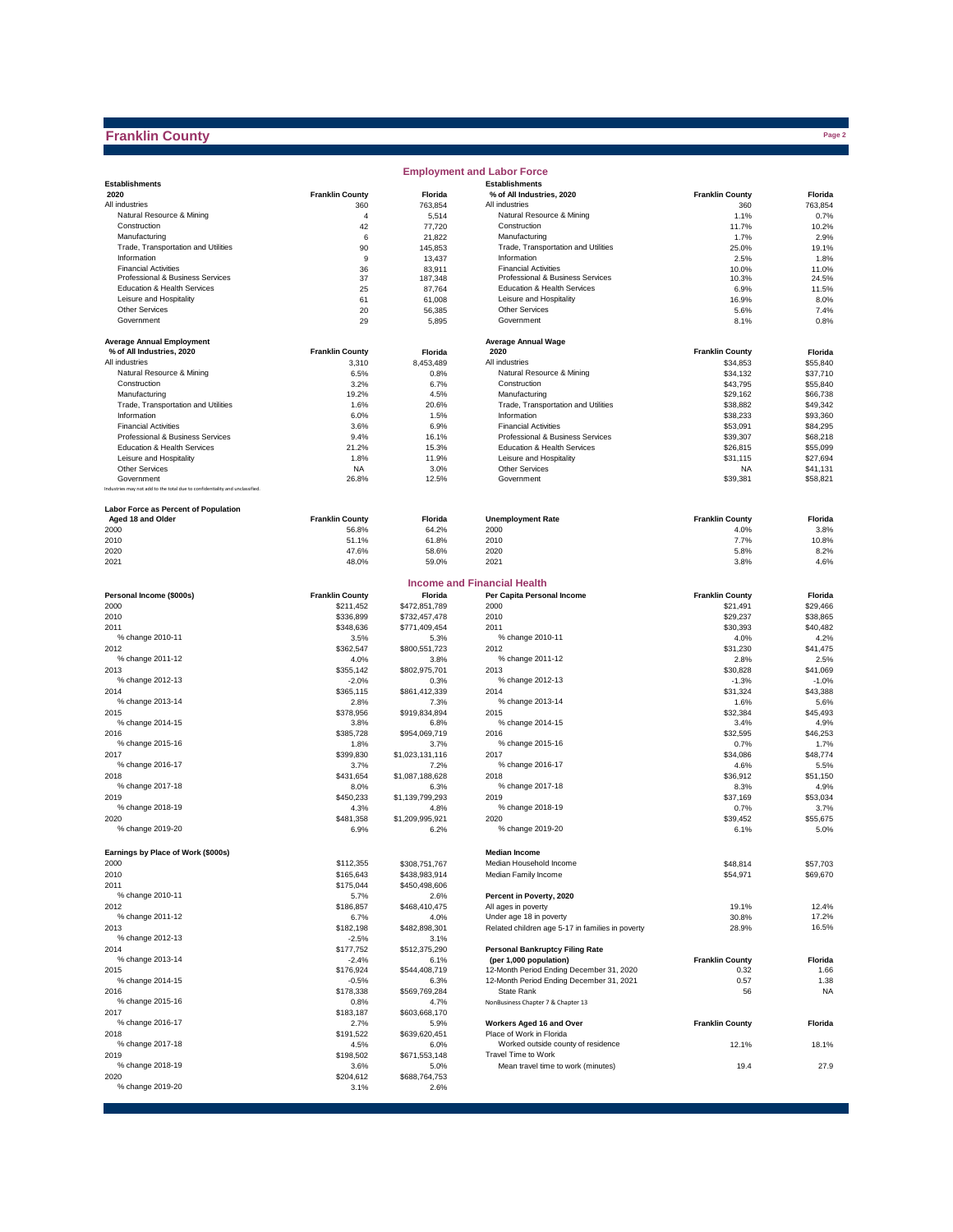## **Franklin County**

|                                                                              |                        |                   | <b>Employment and Labor Force</b>                         |                        |               |
|------------------------------------------------------------------------------|------------------------|-------------------|-----------------------------------------------------------|------------------------|---------------|
| <b>Establishments</b>                                                        |                        |                   | <b>Establishments</b>                                     |                        |               |
| 2020                                                                         | <b>Franklin County</b> | Florida           | % of All Industries, 2020                                 | <b>Franklin County</b> | Florida       |
| All industries                                                               | 360                    | 763,854           | All industries                                            | 360                    | 763,854       |
| Natural Resource & Mining                                                    | 4                      | 5,514             | Natural Resource & Mining                                 | 1.1%                   | 0.7%          |
| Construction                                                                 | 42                     | 77,720            | Construction                                              | 11.7%                  | 10.2%         |
| Manufacturing<br>Trade, Transportation and Utilities                         | 6                      | 21,822            | Manufacturing                                             | 1.7%                   | 2.9%          |
| Information                                                                  | 90                     | 145,853           | Trade, Transportation and Utilities<br>Information        | 25.0%                  | 19.1%         |
| <b>Financial Activities</b>                                                  | 9                      | 13,437            | <b>Financial Activities</b>                               | 2.5%                   | 1.8%<br>11.0% |
| Professional & Business Services                                             | 36<br>37               | 83,911<br>187,348 | Professional & Business Services                          | 10.0%<br>10.3%         | 24.5%         |
| Education & Health Services                                                  | 25                     | 87,764            | Education & Health Services                               | 6.9%                   | 11.5%         |
| Leisure and Hospitality                                                      | 61                     | 61,008            | Leisure and Hospitality                                   | 16.9%                  | 8.0%          |
| <b>Other Services</b>                                                        | 20                     | 56,385            | <b>Other Services</b>                                     | 5.6%                   | 7.4%          |
| Government                                                                   | 29                     | 5,895             | Government                                                | 8.1%                   | 0.8%          |
|                                                                              |                        |                   |                                                           |                        |               |
| <b>Average Annual Employment</b>                                             |                        |                   | <b>Average Annual Wage</b>                                |                        |               |
| % of All Industries, 2020                                                    | <b>Franklin County</b> | Florida           | 2020                                                      | <b>Franklin County</b> | Florida       |
| All industries                                                               | 3,310                  | 8,453,489         | All industries                                            | \$34,853               | \$55,840      |
| Natural Resource & Mining                                                    | 6.5%                   | 0.8%              | Natural Resource & Mining                                 | \$34,132               | \$37,710      |
| Construction                                                                 | 3.2%                   | 6.7%              | Construction                                              | \$43,795               | \$55,840      |
| Manufacturing                                                                | 19.2%                  | 4.5%              | Manufacturing                                             | \$29,162               | \$66,738      |
| Trade, Transportation and Utilities                                          | 1.6%                   | 20.6%             | Trade, Transportation and Utilities                       | \$38,882               | \$49,342      |
| Information                                                                  | 6.0%                   | 1.5%              | Information                                               | \$38,233               | \$93,360      |
| <b>Financial Activities</b>                                                  | 3.6%                   | 6.9%              | <b>Financial Activities</b>                               | \$53,091               | \$84,295      |
| Professional & Business Services                                             | 9.4%                   | 16.1%             | Professional & Business Services                          | \$39,307               | \$68,218      |
| Education & Health Services                                                  | 21.2%                  | 15.3%             | Education & Health Services                               | \$26,815               | \$55,099      |
| Leisure and Hospitality                                                      | 1.8%                   | 11.9%             | Leisure and Hospitality                                   | \$31,115               | \$27,694      |
| <b>Other Services</b>                                                        | <b>NA</b>              | 3.0%              | <b>Other Services</b>                                     | <b>NA</b>              | \$41,131      |
| Government                                                                   | 26.8%                  | 12.5%             | Government                                                | \$39,381               | \$58,821      |
| Industries may not add to the total due to confidentiality and unclassified. |                        |                   |                                                           |                        |               |
| Labor Force as Percent of Population                                         |                        |                   |                                                           |                        |               |
| Aged 18 and Older                                                            | <b>Franklin County</b> | Florida           | <b>Unemployment Rate</b>                                  | <b>Franklin County</b> | Florida       |
| 2000                                                                         | 56.8%                  | 64.2%             | 2000                                                      | 4.0%                   | 3.8%          |
| 2010                                                                         | 51.1%                  | 61.8%             | 2010                                                      | 7.7%                   | 10.8%         |
| 2020                                                                         | 47.6%                  | 58.6%             | 2020                                                      | 5.8%                   | 8.2%          |
| 2021                                                                         | 48.0%                  | 59.0%             | 2021                                                      | 3.8%                   | 4.6%          |
|                                                                              |                        |                   |                                                           |                        |               |
|                                                                              |                        |                   | <b>Income and Financial Health</b>                        |                        |               |
| Personal Income (\$000s)                                                     | <b>Franklin County</b> | Florida           | Per Capita Personal Income                                | <b>Franklin County</b> | Florida       |
| 2000                                                                         | \$211,452              | \$472,851,789     | 2000                                                      | \$21,491               | \$29,466      |
| 2010                                                                         | \$336,899              | \$732,457,478     | 2010                                                      | \$29,237               | \$38,865      |
| 2011                                                                         | \$348,636              | \$771,409,454     | 2011                                                      | \$30,393               | \$40,482      |
| % change 2010-11                                                             | 3.5%                   | 5.3%              | % change 2010-11                                          | 4.0%                   | 4.2%          |
| 2012                                                                         | \$362,547              | \$800,551,723     | 2012                                                      | \$31,230               | \$41,475      |
| % change 2011-12                                                             | 4.0%                   | 3.8%              | % change 2011-12                                          | 2.8%                   | 2.5%          |
| 2013                                                                         | \$355,142              | \$802,975,701     | 2013                                                      | \$30,828               | \$41,069      |
| % change 2012-13                                                             | $-2.0%$                | 0.3%              | % change 2012-13                                          | $-1.3%$                | $-1.0%$       |
| 2014                                                                         | \$365,115              | \$861,412,339     | 2014                                                      | \$31,324               | \$43,388      |
| % change 2013-14                                                             | 2.8%                   | 7.3%              | % change 2013-14                                          | 1.6%                   | 5.6%          |
| 2015                                                                         | \$378,956              | \$919,834,894     | 2015                                                      | \$32,384               | \$45,493      |
| % change 2014-15                                                             | 3.8%                   | 6.8%              | % change 2014-15                                          | 3.4%                   | 4.9%          |
| 2016                                                                         | \$385,728              | \$954,069,719     | 2016                                                      | \$32,595               | \$46,253      |
| % change 2015-16                                                             | 1.8%                   | 3.7%              | % change 2015-16                                          | 0.7%                   | 1.7%          |
| 2017                                                                         | \$399,830              | \$1,023,131,116   | 2017                                                      | \$34,086               | \$48,774      |
| % change 2016-17                                                             | 3.7%                   | 7.2%              | % change 2016-17                                          | 4.6%                   | 5.5%          |
| 2018                                                                         | \$431,654              | \$1,087,188,628   | 2018                                                      | \$36,912               | \$51.150      |
| % change 2017-18                                                             | 8.0%                   | 6.3%              | % change 2017-18                                          | 8.3%                   | 4.9%          |
| 2019                                                                         | \$450,233              | \$1,139,799,293   | 2019                                                      | \$37,169               | \$53,034      |
| % change 2018-19                                                             | 4.3%                   | 4.8%              | % change 2018-19                                          | 0.7%                   | 3.7%          |
| 2020                                                                         | \$481,358              | \$1,209,995,921   | 2020                                                      | \$39,452               | \$55,675      |
| % change 2019-20                                                             | 6.9%                   | 6.2%              | % change 2019-20                                          | 6.1%                   | 5.0%          |
|                                                                              |                        |                   |                                                           |                        |               |
| Earnings by Place of Work (\$000s)                                           |                        |                   | <b>Median Income</b>                                      |                        |               |
| 2000                                                                         | \$112,355              | \$308,751,767     | Median Household Income                                   | \$48,814               | \$57,703      |
| 2010                                                                         | \$165,643              | \$438,983,914     | Median Family Income                                      | \$54,971               | \$69,670      |
| 2011                                                                         | \$175,044              | \$450,498,606     |                                                           |                        |               |
| % change 2010-11                                                             | 5.7%                   | 2.6%              | Percent in Poverty, 2020                                  |                        |               |
| 2012                                                                         | \$186,857              | \$468,410,475     | All ages in poverty                                       | 19.1%                  | 12.4%         |
| % change 2011-12                                                             | 6.7%                   | 4.0%              | Under age 18 in poverty                                   | 30.8%                  | 17.2%         |
| 2013                                                                         | \$182,198              | \$482,898,301     | Related children age 5-17 in families in poverty          | 28.9%                  | 16.5%         |
| % change 2012-13                                                             | $-2.5%$                | 3.1%              |                                                           |                        |               |
| 2014                                                                         | \$177,752              | \$512,375,290     | <b>Personal Bankruptcy Filing Rate</b>                    |                        |               |
| % change 2013-14                                                             | $-2.4%$                | 6.1%              | (per 1,000 population)                                    | <b>Franklin County</b> | Florida       |
| 2015                                                                         | \$176,924              | \$544,408,719     | 12-Month Period Ending December 31, 2020                  | 0.32                   | 1.66          |
| % change 2014-15                                                             | $-0.5%$                | 6.3%              | 12-Month Period Ending December 31, 2021                  | 0.57                   | 1.38          |
| 2016                                                                         | \$178,338              | \$569,769,284     | State Rank                                                | 56                     | <b>NA</b>     |
| % change 2015-16                                                             | 0.8%                   | 4.7%              | NonBusiness Chapter 7 & Chapter 13                        |                        |               |
| 2017                                                                         | \$183,187              | \$603,668,170     |                                                           |                        |               |
| % change 2016-17                                                             | 2.7%                   | 5.9%              | Workers Aged 16 and Over<br>Place of Work in Florida      | <b>Franklin County</b> | Florida       |
| 2018                                                                         | \$191,522              | \$639,620,451     |                                                           |                        |               |
| % change 2017-18                                                             | 4.5%                   | 6.0%              | Worked outside county of residence<br>Travel Time to Work | 12.1%                  | 18.1%         |
| 2019<br>% change 2018-19                                                     | \$198,502              | \$671,553,148     |                                                           |                        |               |
|                                                                              | 3.6%                   | 5.0%              | Mean travel time to work (minutes)                        | 19.4                   | 27.9          |
| 2020                                                                         | \$204,612              | \$688,764,753     |                                                           |                        |               |
| % change 2019-20                                                             | 3.1%                   | 2.6%              |                                                           |                        |               |